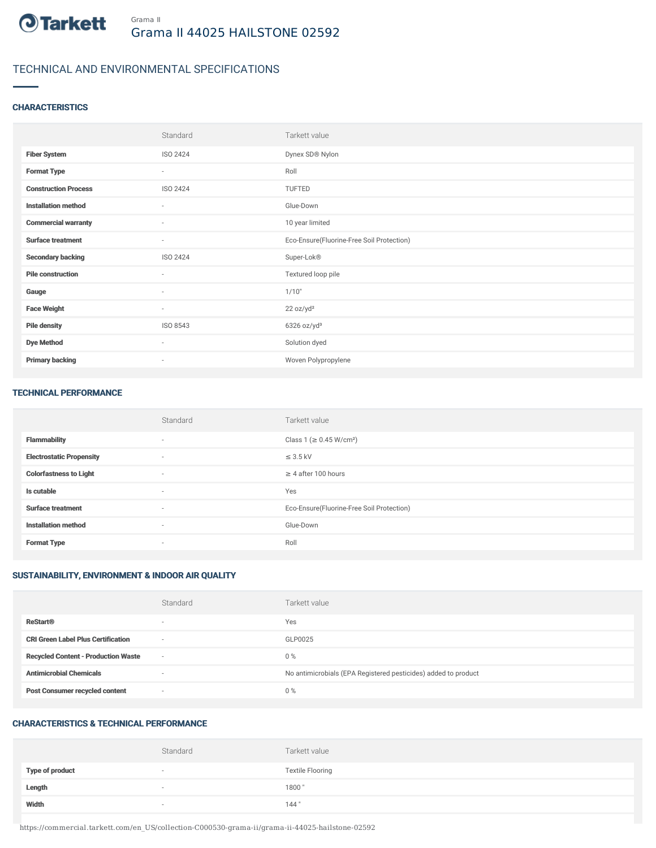

## TECHNICAL AND ENVIRONMENTAL SPECIFICATIONS

#### **CHARACTERISTICS**

|                             | Standard                 | Tarkett value                             |
|-----------------------------|--------------------------|-------------------------------------------|
| <b>Fiber System</b>         | ISO 2424                 | Dynex SD® Nylon                           |
| <b>Format Type</b>          | $\sim$                   | Roll                                      |
| <b>Construction Process</b> | ISO 2424                 | TUFTED                                    |
| <b>Installation method</b>  | $\sim$                   | Glue-Down                                 |
| <b>Commercial warranty</b>  | $\sim$                   | 10 year limited                           |
| <b>Surface treatment</b>    | $\sim$                   | Eco-Ensure(Fluorine-Free Soil Protection) |
| <b>Secondary backing</b>    | ISO 2424                 | Super-Lok®                                |
| <b>Pile construction</b>    | $\sim$                   | Textured loop pile                        |
| Gauge                       | $\overline{\phantom{a}}$ | 1/10"                                     |
| <b>Face Weight</b>          | $\sim$                   | 22 oz/yd <sup>2</sup>                     |
| <b>Pile density</b>         | ISO 8543                 | $6326$ oz/yd <sup>3</sup>                 |
| <b>Dye Method</b>           | $\sim$                   | Solution dyed                             |
| <b>Primary backing</b>      | $\sim$                   | Woven Polypropylene                       |

#### TECHNICAL PERFORMANCE

|                                 | Standard                 | Tarkett value                             |
|---------------------------------|--------------------------|-------------------------------------------|
| <b>Flammability</b>             | $\sim$                   | Class 1 (≥ 0.45 W/cm <sup>2</sup> )       |
| <b>Electrostatic Propensity</b> | $\overline{\phantom{a}}$ | $\leq$ 3.5 kV                             |
| <b>Colorfastness to Light</b>   | $\sim$                   | $\geq$ 4 after 100 hours                  |
| Is cutable                      | $\sim$                   | Yes                                       |
| <b>Surface treatment</b>        | $\sim$                   | Eco-Ensure(Fluorine-Free Soil Protection) |
| <b>Installation method</b>      | $\sim$                   | Glue-Down                                 |
| <b>Format Type</b>              | $\sim$                   | Roll                                      |

### SUSTAINABILITY, ENVIRONMENT & INDOOR AIR QUALITY

|                                            | Standard                 | Tarkett value                                                  |
|--------------------------------------------|--------------------------|----------------------------------------------------------------|
| <b>ReStart®</b>                            | $\overline{\phantom{a}}$ | Yes                                                            |
| <b>CRI Green Label Plus Certification</b>  | $\sim$                   | GLP0025                                                        |
| <b>Recycled Content - Production Waste</b> | $\sim$                   | $0\%$                                                          |
| <b>Antimicrobial Chemicals</b>             | -                        | No antimicrobials (EPA Registered pesticides) added to product |
| <b>Post Consumer recycled content</b>      | $\sim$                   | $0\%$                                                          |

#### CHARACTERISTICS & TECHNICAL PERFORMANCE

|                        | Standard                 | Tarkett value           |
|------------------------|--------------------------|-------------------------|
| <b>Type of product</b> | $\overline{\phantom{a}}$ | <b>Textile Flooring</b> |
| Length                 |                          | 1800"                   |
| Width                  | $\sim$                   | 144"                    |

https://commercial.tarkett.com/en\_US/collection-C000530-grama-ii/grama-ii-44025-hailstone-02592